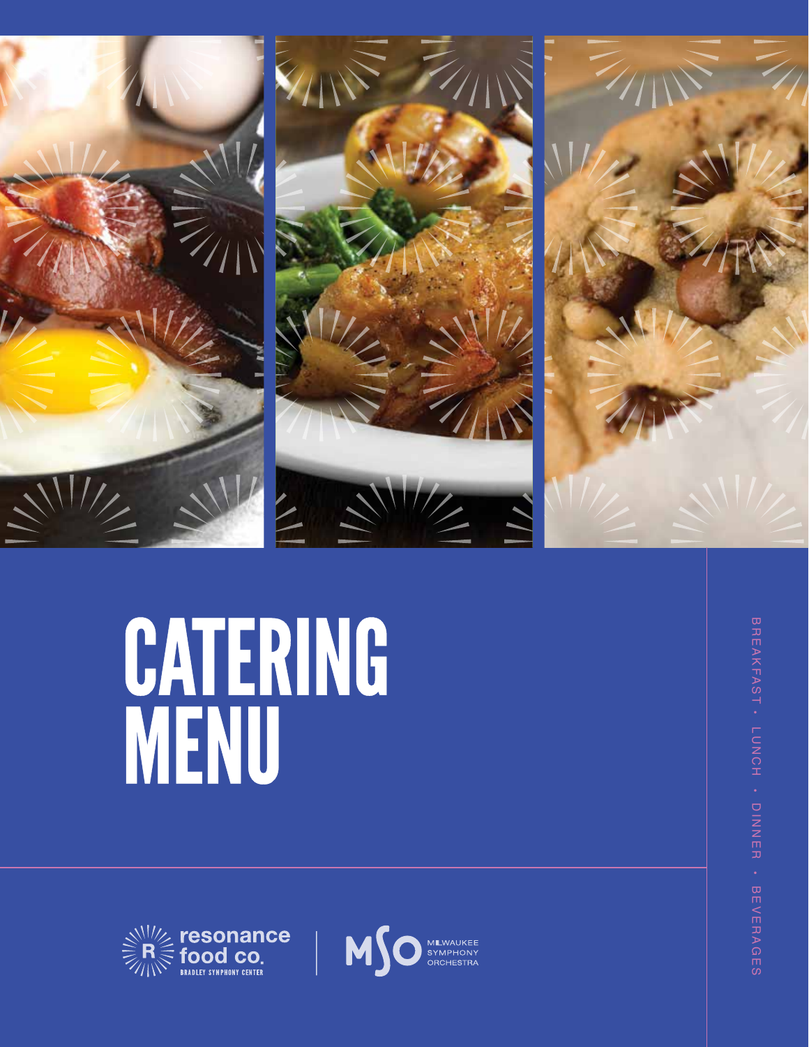





# **CATERING**<br>MENU





BREAKFAST LUNCH DINNER<br>DINNER BEVERAGES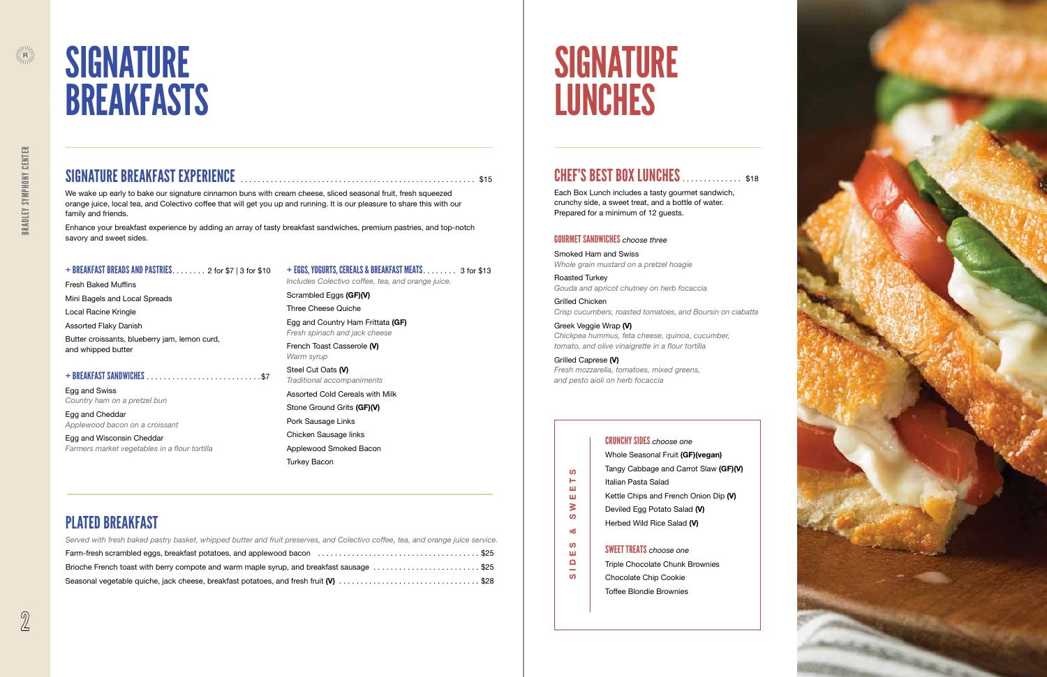

Each Box Lunch includes a tasty gourmet sandwich, crunchy side, a sweet treat, and a bottle of water. Prepared for a minimum of 12 guests .

#### GOURMET SANDWICHES *choose three*

Smoked Ham and Swiss *Whole grain mustard on a pretzel hoagie* 

Roasted Turkey *Gouda and apricot chutney on herb focaccia*

Grilled Chicken *Crisp cucumbers, roasted tomatoes, and Boursin on ciabatta* 

#### Greek Veggie Wrap (V) *Chickpea hummus, feta cheese, quinoa, cucumber, tomato, and olive vinaigrette in a flour tortilla*



# **SIGNATURE** BREAKFASTS

Grilled Caprese (V) *Fresh mozzarella, tomatoes, mixed greens, and pesto aioli on herb focaccia*

Steel Cut Oats (V) *Traditional accompaniments*

Fresh Baked Muffins Mini Bagels and Local Spreads Local Racine Kringle

Assorted Flaky Danish

Butter croissants, blueberry jam, lemon curd, and whipped butter

#### + BREAKFAST SANDWICHES . . . . . . . . . . . . . . . . . . . . . . . . . . \$7

Egg and Swiss *Country ham on a pretzel bun*

Egg and Cheddar *Applewood bacon on a croissant*

| Served with fresh baked pastry basket, whipped butter and fruit preserves, and Colectivo coffee, tea, and orange juice service. |  |
|---------------------------------------------------------------------------------------------------------------------------------|--|
|                                                                                                                                 |  |
| Brioche French toast with berry compote and warm maple syrup, and breakfast sausage \$25                                        |  |
| Seasonal vegetable quiche, jack cheese, breakfast potatoes, and fresh fruit (V) \$28                                            |  |

Egg and Wisconsin Cheddar *Farmers market vegetables in a flour tortilla*

# SIGNATURE LUNCHES

### **CHEF'S BEST BOX LUNCHES .** . . . . . . . . . . \$18

#### + EGGS, YOGURTS, CEREALS & BREAKFAST MEATS *. . . . . . . .* 3 for \$13

*Includes Colectivo coffee, tea, and orange juice .*

Scrambled Eggs (GF)(V)

Three Cheese Quiche

Egg and Country Ham Frittata (GF) *Fresh spinach and jack cheese* 

French Toast Casserole (V) *Warm syrup*

Assorted Cold Cereals with Milk

Stone Ground Grits (GF)(V)

Pork Sausage Links

Chicken Sausage links

Applewood Smoked Bacon

Turkey Bacon

### SIGNATURE BREAKFAST EXPERIENCE . . . . . . . . . . . . . . . . . . . . . . . . . . . . . . . . . . . . . . . . . . . . . . . . . . . . . . . \$15

We wake up early to bake our signature cinnamon buns with cream cheese, sliced seasonal fruit, fresh squeezed orange juice, local tea, and Colectivo coffee that will get you up and running . It is our pleasure to share this with our family and friends .

Enhance your breakfast experience by adding an array of tasty breakfast sandwiches, premium pastries, and top-notch savory and sweet sides .

#### + BREAKFAST BREADS AND PASTRIES . . . . . . . . 2 for \$7 | 3 for \$10

### PLATED BREAKFAST

#### CRUNCHY SIDES *choose one*

| Whole Seasonal Fruit (GF)(vegan)      |
|---------------------------------------|
| Tangy Cabbage and Carrot Slaw (GF)(V) |
| Italian Pasta Salad                   |
| Kettle Chips and French Onion Dip (V) |
| Deviled Egg Potato Salad (V)          |
| Herbed Wild Rice Salad (V)            |
|                                       |

#### SWEET TREATS *choose one*

- Triple Chocolate Chunk Brownies
- Chocolate Chip Cookie Toffee Blondie Brownies

SIDES & SWEETS

ഗ ь ш ш  $\geq$  $\boldsymbol{\omega}$ ಂಕ  $\boldsymbol{\omega}$ Щ  $\mathbf \Omega$ **START**  $\omega$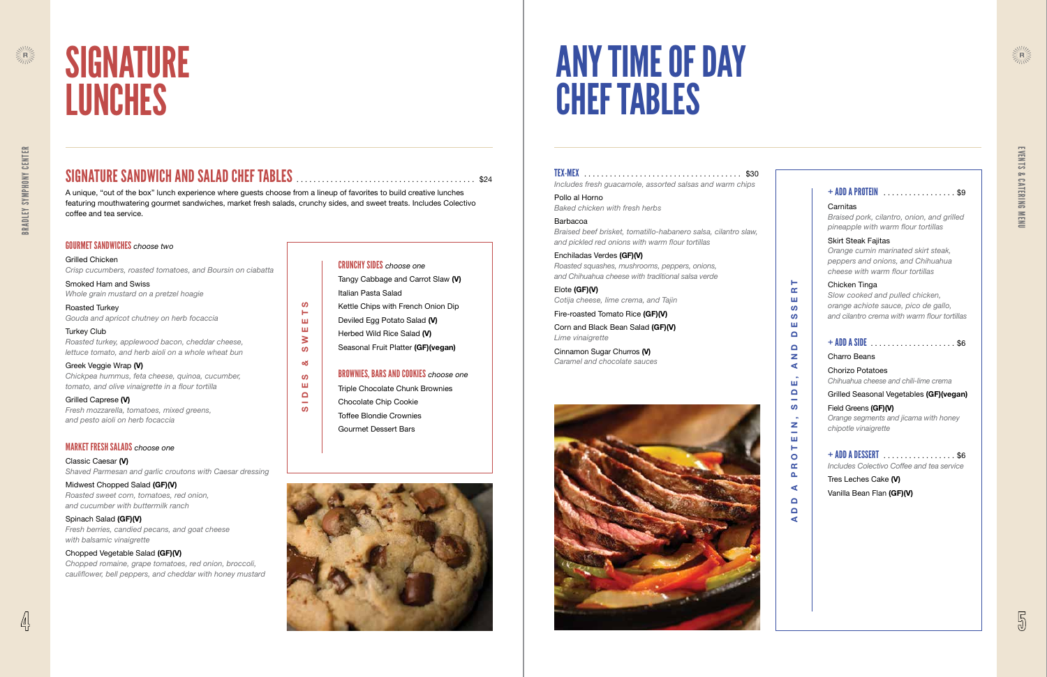

#### GOURMET SANDWICHES *choose two*

Grilled Chicken *Crisp cucumbers, roasted tomatoes, and Boursin on ciabatta* 

Smoked Ham and Swiss *Whole grain mustard on a pretzel hoagie*

Roasted Turkey *Gouda and apricot chutney on herb focaccia*

Turkey Club *Roasted turkey, applewood bacon, cheddar cheese, lettuce tomato, and herb aioli on a whole wheat bun* 

Greek Veggie Wrap (V) *Chickpea hummus, feta cheese, quinoa, cucumber, tomato, and olive vinaigrette in a flour tortilla*

Grilled Caprese (V) *Fresh mozzarella, tomatoes, mixed greens, and pesto aioli on herb focaccia*

#### MARKET FRESH SALADS *choose one*

Classic Caesar (V) *Shaved Parmesan and garlic croutons with Caesar dressing* 

Midwest Chopped Salad (GF)(V) *Roasted sweet corn, tomatoes, red onion, and cucumber with buttermilk ranch*

Spinach Salad (GF)(V) *Fresh berries, candied pecans, and goat cheese with balsamic vinaigrette* 

#### Chopped Vegetable Salad (GF)(V) *Chopped romaine, grape tomatoes, red onion, broccoli,*

*cauliflower, bell peppers, and cheddar with honey mustard* 

|  | <b>CRUNCHY SIDES</b> choose one |
|--|---------------------------------|
|  |                                 |

Tangy Cabbage and Carrot Slaw (V) Italian Pasta Salad Kettle Chips with French Onion Dip Deviled Egg Potato Salad (V) Herbed Wild Rice Salad (V) Seasonal Fruit Platter (GF)(vegan)

#### BROWNIES, BARS AND COOKIES *choose one*

Triple Chocolate Chunk Brownies Chocolate Chip Cookie

Toffee Blondie Crownies

Gourmet Dessert Bars





# SIGNATURE LUNCHES

### SIGNATURE SANDWICH AND SALAD CHEF TABLES . . . . . . . . . . . . . . . . . . . . . . . . . . . . . . . . . . . . . . . . . . \$24

A unique, "out of the box" lunch experience where guests choose from a lineup of favorites to build creative lunches featuring mouthwatering gourmet sandwiches, market fresh salads, crunchy sides, and sweet treats . Includes Colectivo coffee and tea service .

SIDES & SWEETS

න්

 $\boldsymbol{\omega}$ 

ш

 $\mathbf \Omega$ 

 $\sim$ 

 $\boldsymbol{\omega}$ 

 $\blacksquare$ 

ш

ш

 $\geq$ 

**S** 

#### + ADD A PROTEIN . . . . . . . . . . . . . . . . . \$9

#### Carnitas

*Braised pork, cilantro, onion, and grilled pineapple with warm flour tortillas*

#### Skirt Steak Fajitas

*Orange cumin marinated skirt steak, peppers and onions, and Chihuahua cheese with warm flour tortillas* 

#### Chicken Tinga

*Slow cooked and pulled chicken, orange achiote sauce, pico de gallo, and cilantro crema with warm flour tortillas* 

#### $+$  ADD A SIDE  $\ldots$ , . . . . . . . . . . . . . . . \$6

#### Charro Beans

Chorizo Potatoes *Chihuahua cheese and chili-lime crema*

#### Grilled Seasonal Vegetables (GF)(vegan)

Field Greens (GF)(V) *Orange segments and jicama with honey chipotle vinaigrette*

+ ADD A DESSERT . . . . . . . . . . . . . . . . . \$6 *Includes Colectivo Coffee and tea service* 

Tres Leches Cake (V) Vanilla Bean Flan (GF)(V)

#### TEX-MEX . . . . . . . . . . . . . . . . . . . . . . . . . . . . . . . . . . . . . \$30 *Includes fresh guacamole, assorted salsas and warm chips*

Pollo al Horno *Baked chicken with fresh herbs*

#### Barbacoa

*Braised beef brisket, tomatillo-habanero salsa, cilantro slaw, and pickled red onions with warm flour tortillas*

Enchiladas Verdes (GF)(V) *Roasted squashes, mushrooms, peppers, onions, and Chihuahua cheese with traditional salsa verde* 

Elote (GF)(V) *Cotija cheese, lime crema, and Tajin*

Fire-roasted Tomato Rice (GF)(V)

Corn and Black Bean Salad (GF)(V) *Lime vinaigrette*

Cinnamon Sugar Churros (V) *Caramel and chocolate sauces*



# ANY TIME OF DAY CHEF TABLES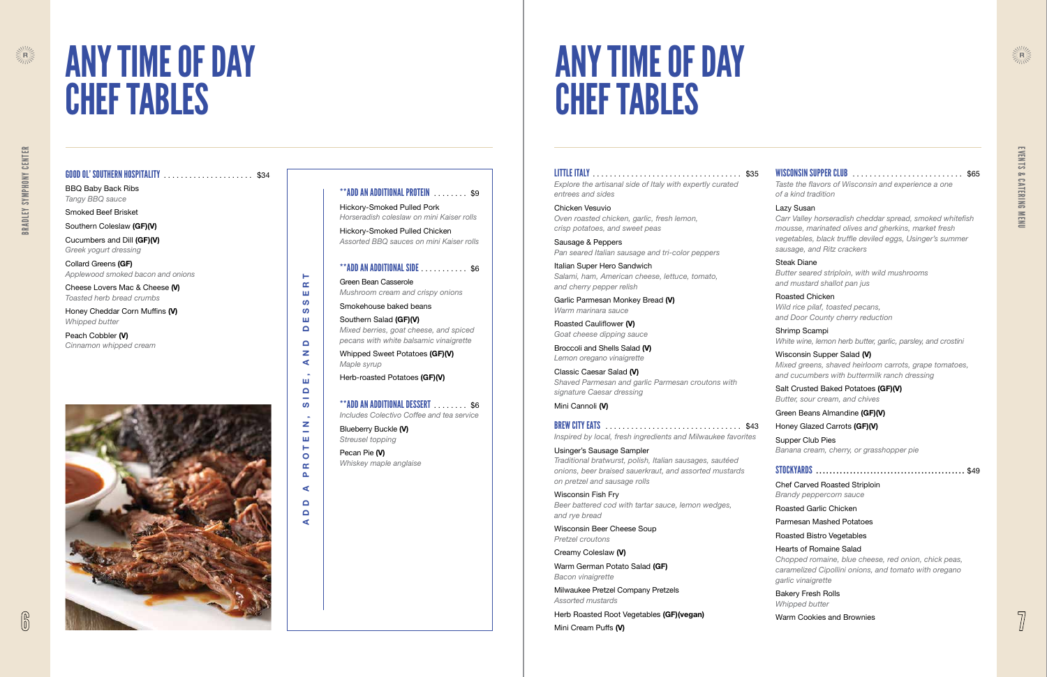#### GOOD OL' SOUTHERN HOSPITALITY . . . . . . . . . . . . . . . . . . . . . \$34

BBQ Baby Back Ribs *Tangy BBQ sauce*

Smoked Beef Brisket

Southern Coleslaw (GF)(V)

Peach Cobbler (V) *Cinnamon whipped cream*



Cucumbers and Dill (GF)(V) *Greek yogurt dressing* 

Collard Greens (GF) *Applewood smoked bacon and onions* 

Cheese Lovers Mac & Cheese (V) *Toasted herb bread crumbs*

Honey Cheddar Corn Muffins (V) *Whipped butter*

ADD A PROTEIN, SIDE, AND DESSERT

 $\mathbf{z}$  $\sim$  $\mathbf{m}$  $\vdash$  $\bullet$  $\alpha$  $\Delta$  $\blacktriangleleft$  $\Box$  $\Box$ ⋖

Ш  $\Box$  $\sim$ **S** 

 $\vdash$  $\alpha$ ш ഗ **S** Ш  $\Box$  $\Box$  $\mathbf{z}$  $\blacktriangleleft$ 

#### \*\*ADD AN ADDITIONAL PROTEIN . . . . . . . . \$9

Hickory-Smoked Pulled Pork *Horseradish coleslaw on mini Kaiser rolls*

Hickory-Smoked Pulled Chicken *Assorted BBQ sauces on mini Kaiser rolls* 

#### $*$ \*ADD AN ADDITIONAL SIDE  $\ldots$ ........\$6

Green Bean Casserole *Mushroom cream and crispy onions*

Smokehouse baked beans Southern Salad (GF)(V) *Mixed berries, goat cheese, and spiced pecans with white balsamic vinaigrette*

Whipped Sweet Potatoes (GF)(V) *Maple syrup*

Herb-roasted Potatoes (GF)(V)

### $**$ ADD AN ADDITIONAL DESSERT  $\ldots$  . . . . . . \$6

*Includes Colectivo Coffee and tea service*

Blueberry Buckle (V) *Streusel topping*

Pecan Pie (V) *Whiskey maple anglaise*



# ANY TIME OF DAY CHEF TABLES

# ANY TIME OF DAY CHEF TABLES

Warm German Potato Salad (GF) *Bacon vinaigrette*

### LITTLE ITALY . . . . . . . . . . . . . . . . . . . . . . . . . . . . . . . . . . . \$35

*Explore the artisanal side of Italy with expertly curated entrees and sides* 

Chicken Vesuvio *Oven roasted chicken, garlic, fresh lemon, crisp potatoes, and sweet peas*

Sausage & Peppers *Pan seared Italian sausage and tri-color peppers*

Italian Super Hero Sandwich *Salami, ham, American cheese, lettuce, tomato, and cherry pepper relish* 

Garlic Parmesan Monkey Bread (V) *Warm marinara sauce*

Roasted Cauliflower (V) *Goat cheese dipping sauce*

Broccoli and Shells Salad (V) *Lemon oregano vinaigrette*

Classic Caesar Salad (V) *Shaved Parmesan and garlic Parmesan croutons with signature Caesar dressing*

Mini Cannoli (V)

BREW CITY EATS . . . . . . . . . . . . . . . . . . . . . . . . . . . . . . . . \$43 *Inspired by local, fresh ingredients and Milwaukee favorites* 

Usinger's Sausage Sampler *Traditional bratwurst, polish, Italian sausages, sautéed onions, beer braised sauerkraut, and assorted mustards on pretzel and sausage rolls*

Wisconsin Fish Fry *Beer battered cod with tartar sauce, lemon wedges, and rye bread*

Wisconsin Beer Cheese Soup *Pretzel croutons*

Creamy Coleslaw (V)

Milwaukee Pretzel Company Pretzels *Assorted mustards*

Herb Roasted Root Vegetables (GF)(vegan) Mini Cream Puffs (V)



#### WISCONSIN SUPPER CLUB . . . . . . . . . . . . . . . . . . . . . . . . . . \$65

*Taste the flavors of Wisconsin and experience a one of a kind tradition*

#### Lazy Susan

*Carr Valley horseradish cheddar spread, smoked whitefish mousse, marinated olives and gherkins, market fresh vegetables, black truffle deviled eggs, Usinger's summer sausage, and Ritz crackers*

#### Steak Diane

*Butter seared striploin, with wild mushrooms and mustard shallot pan jus*

Roasted Chicken *Wild rice pilaf, toasted pecans, and Door County cherry reduction*

Shrimp Scampi *White wine, lemon herb butter, garlic, parsley, and crostini* 

#### Wisconsin Supper Salad (V)

*Mixed greens, shaved heirloom carrots, grape tomatoes, and cucumbers with buttermilk ranch dressing*

#### Salt Crusted Baked Potatoes (GF)(V)

*Butter, sour cream, and chives*

#### Green Beans Almandine (GF)(V)

#### Honey Glazed Carrots (GF)(V)

Supper Club Pies *Banana cream, cherry, or grasshopper pie* 

#### STOCKYARDS . . . . . . . . . . . . . . . . . . . . . . . . . . . . . . . . . . . . . . . . . . . \$49

Chef Carved Roasted Striploin *Brandy peppercorn sauce* 

#### Roasted Garlic Chicken

#### Parmesan Mashed Potatoes

Roasted Bistro Vegetables

#### Hearts of Romaine Salad

*Chopped romaine, blue cheese, red onion, chick peas, caramelized Cipollini onions, and tomato with oregano garlic vinaigrette* 

Bakery Fresh Rolls *Whipped butter* 

Warm Cookies and Brownies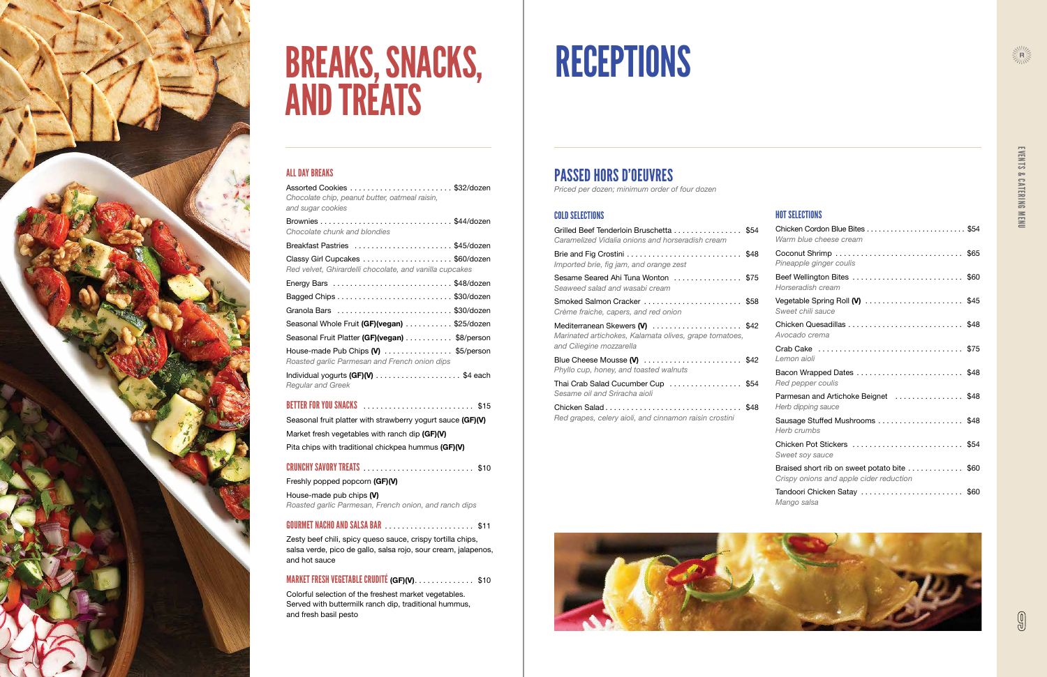

### PASSED HORS D'OEUVRES

*Priced per dozen; minimum order of four dozen*

#### COLD SELECTIONS

| Grilled Beef Tenderloin Bruschetta  \$54<br>Caramelized Vidalia onions and horseradish cream                         |  |
|----------------------------------------------------------------------------------------------------------------------|--|
| Imported brie, fig jam, and orange zest                                                                              |  |
| Sesame Seared Ahi Tuna Wonton \$75<br>Seaweed salad and wasabi cream                                                 |  |
| Smoked Salmon Cracker  \$58<br>Crème fraiche, capers, and red onion                                                  |  |
| Mediterranean Skewers (V) \$42<br>Marinated artichokes, Kalamata olives, grape tomatoes,<br>and Ciliegine mozzarella |  |
| Blue Cheese Mousse (V) \$42<br>Phyllo cup, honey, and toasted walnuts                                                |  |
| Thai Crab Salad Cucumber Cup \$54<br>Sesame oil and Sriracha aioli                                                   |  |
| Red grapes, celery aioli, and cinnamon raisin crostini                                                               |  |





# RECEPTIONS

#### HOT SELECTIONS

| Chicken Cordon Blue Bites  \$54<br>Warm blue cheese cream                              |
|----------------------------------------------------------------------------------------|
| Pineapple ginger coulis                                                                |
| Beef Wellington Bites \$60<br>Horseradish cream                                        |
| Vegetable Spring Roll (V)  \$45<br>Sweet chili sauce                                   |
| Avocado crema                                                                          |
| Lemon aioli                                                                            |
| Bacon Wrapped Dates \$48<br>Red pepper coulis                                          |
| Parmesan and Artichoke Beignet \$48<br>Herb dipping sauce                              |
| Sausage Stuffed Mushrooms \$48<br>Herb crumbs                                          |
| Chicken Pot Stickers  \$54<br>Sweet soy sauce                                          |
| Braised short rib on sweet potato bite \$60<br>Crispy onions and apple cider reduction |
| Tandoori Chicken Satay \$60<br>Mango salsa                                             |

#### ALL DAY BREAKS

| Chocolate chip, peanut butter, oatmeal raisin,<br>and sugar cookies                                            |
|----------------------------------------------------------------------------------------------------------------|
| Chocolate chunk and blondies                                                                                   |
| Breakfast Pastries \$45/dozen                                                                                  |
| Red velvet, Ghirardelli chocolate, and vanilla cupcakes                                                        |
|                                                                                                                |
|                                                                                                                |
|                                                                                                                |
| Seasonal Whole Fruit (GF)(vegan) \$25/dozen                                                                    |
| Seasonal Fruit Platter (GF)(vegan) \$8/person                                                                  |
| House-made Pub Chips (V) \$5/person<br>Roasted garlic Parmesan and French onion dips                           |
| Individual yogurts (GF)(V) \$4 each<br><b>Regular and Greek</b>                                                |
| BETTER FOR YOU SNACKS And the contract of the State of the State of the State of the State of the State of the |
| Seasonal fruit platter with strawberry yogurt sauce (GF)(V)                                                    |
| Market fresh vegetables with ranch dip (GF)(V)                                                                 |
| Pita chips with traditional chickpea hummus (GF)(V)                                                            |
|                                                                                                                |
| Freshly popped popcorn (GF)(V)                                                                                 |
| House-made pub chips (V)<br>Roasted garlic Parmesan, French onion, and ranch dips                              |

#### GOURMET NACHO AND SALSA BAR . . . . . . . . . . . . . . . . . . . . . \$11

Zesty beef chili, spicy queso sauce, crispy tortilla chips, salsa verde, pico de gallo, salsa rojo, sour cream, jalapenos, and hot sauce

### MARKET FRESH VEGETABLE CRUDITÉ (GF)(V). . . . . . . . . . . . . \$10

Colorful selection of the freshest market vegetables . Served with buttermilk ranch dip, traditional hummus, and fresh basil pesto

# BREAKS, SNACKS, AND TREATS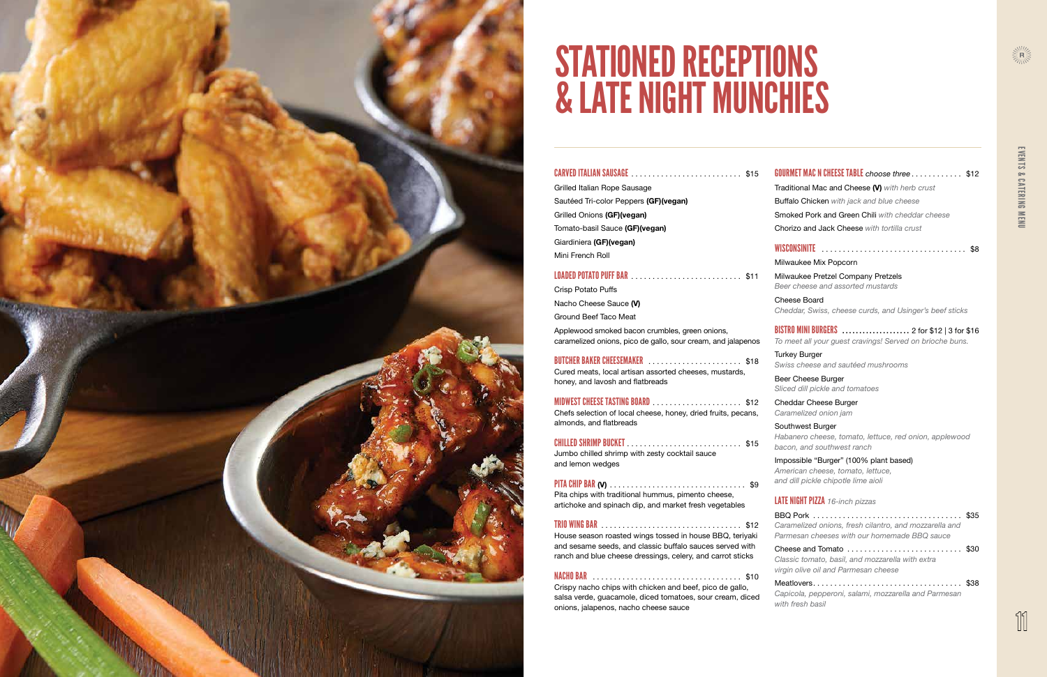

![](_page_5_Picture_29.jpeg)

| <b>CARVED ITALIAN SAUSAGE [10] CARVED ITALIAN SAUSAGE</b>                                                      |
|----------------------------------------------------------------------------------------------------------------|
| Grilled Italian Rope Sausage                                                                                   |
| Sautéed Tri-color Peppers (GF)(vegan)                                                                          |
| Grilled Onions (GF)(vegan)                                                                                     |
| Tomato-basil Sauce (GF)(vegan)                                                                                 |
| Giardiniera (GF)(vegan)                                                                                        |
| Mini French Roll                                                                                               |
|                                                                                                                |
| Crisp Potato Puffs                                                                                             |
| Nacho Cheese Sauce (V)                                                                                         |
| Ground Beef Taco Meat                                                                                          |
| Applewood smoked bacon crumbles, green onions,<br>caramelized onions, pico de gallo, sour cream, and jalapenos |

| <b>BUTCHER BAKER CHEESEMAKER</b> \$18                  |  |
|--------------------------------------------------------|--|
| Cured meats, local artisan assorted cheeses, mustards, |  |
| honey, and lavosh and flatbreads                       |  |

| <b>MIDWEST CHEESE TASTING BOARD</b> ____________________________ \$12 |  |
|-----------------------------------------------------------------------|--|
| Chefs selection of local cheese, honey, dried fruits, pecans,         |  |
| almonds, and flatbreads                                               |  |

| Jumbo chilled shrimp with zesty cocktail sauce |  |
|------------------------------------------------|--|
| and lemon wedges                               |  |

| Pita chips with traditional hummus, pimento cheese,    |  |
|--------------------------------------------------------|--|
| artichoke and spinach dip, and market fresh vegetables |  |

#### TRIO WING BAR . . . . . . . . . . . . . . . . . . . . . . . . . . . . . . . . . \$12

House season roasted wings tossed in house BBQ, teriyaki and sesame seeds, and classic buffalo sauces served with ranch and blue cheese dressings, celery, and carrot sticks

NACHO BAR . . . . . . . . . . . . . . . . . . . . . . . . . . . . . . . . . . . \$10 Crispy nacho chips with chicken and beef, pico de gallo, salsa verde, guacamole, diced tomatoes, sour cream, diced onions, jalapenos, nacho cheese sauce

#### GOURMET MAC N CHEESE TABLE *choose three* . . . . . . . . . . . . \$12

Traditional Mac and Cheese (V) *with herb crust* Buffalo Chicken *with jack and blue cheese* Smoked Pork and Green Chili *with cheddar cheese*  Chorizo and Jack Cheese *with tortilla crust* 

WISCONSINITE . . . . . . . . . . . . . . . . . . . . . . . . . . . . . . . . . . \$8

Milwaukee Mix Popcorn Milwaukee Pretzel Company Pretzels *Beer cheese and assorted mustards*

Cheese Board *Cheddar, Swiss, cheese curds, and Usinger's beef sticks*

BISTRO MINI BURGERS . . . . . . . . . . . . . . . . . . . . 2 for \$12 | 3 for \$16 *To meet all your guest cravings! Served on brioche buns .* 

Turkey Burger *Swiss cheese and sautéed mushrooms*

Beer Cheese Burger *Sliced dill pickle and tomatoes*

Cheddar Cheese Burger *Caramelized onion jam*

Southwest Burger *Habanero cheese, tomato, lettuce, red onion, applewood bacon, and southwest ranch*

Impossible "Burger" (100% plant based) *American cheese, tomato, lettuce, and dill pickle chipotle lime aioli* 

#### LATE NIGHT PIZZA *16-inch pizzas*

BBQ Pork . . . . . . . . . . . . . . . . . . . . . . . . . . . . . . . . . . . \$35 *Caramelized onions, fresh cilantro, and mozzarella and Parmesan cheeses with our homemade BBQ sauce* 

Cheese and Tomato . . . . . . . . . . . . . . . . . . . . . . . . . . . \$30 *Classic tomato, basil, and mozzarella with extra virgin olive oil and Parmesan cheese* 

Meatlovers . . . . . . . . . . . . . . . . . . . . . . . . . . . . . . . . . . . \$38 *Capicola, pepperoni, salami, mozzarella and Parmesan with fresh basil* 

# STATIONED RECEPTIONS & LATE NIGHT MUNCHIES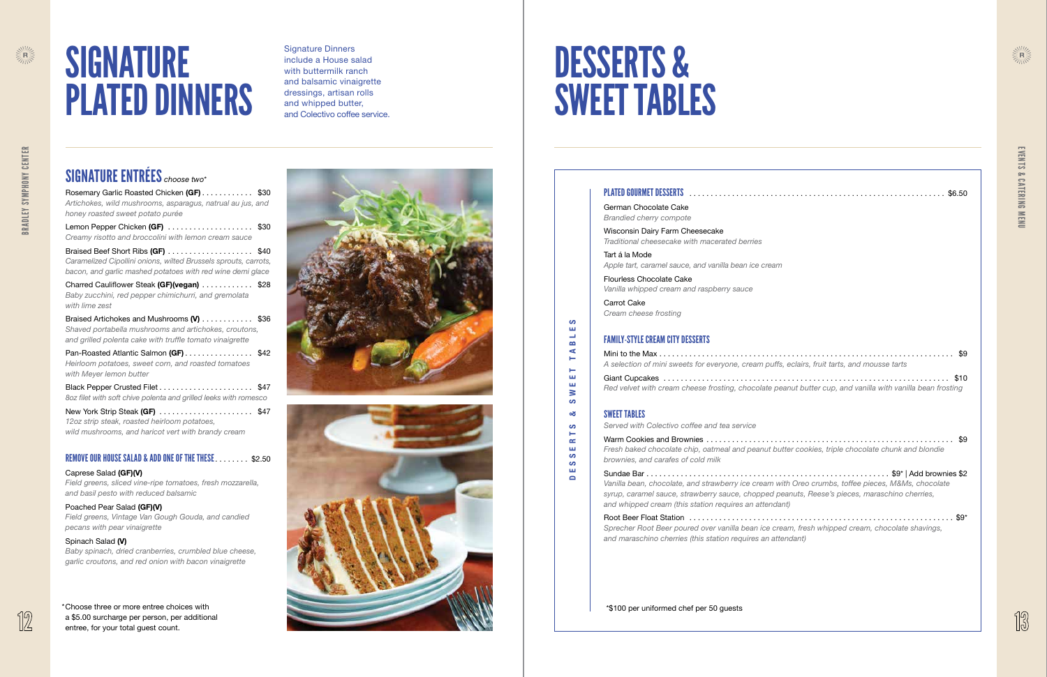# **SIGNATURE** PLATED DINNERS

![](_page_6_Picture_37.jpeg)

### SIGNATURE ENTRÉES *choose two* \*

Rosemary Garlic Roasted Chicken (GF) . . . . . . . . . . \$30 *Artichokes, wild mushrooms, asparagus, natrual au jus, and honey roasted sweet potato purée*  Lemon Pepper Chicken (GF) .....................\$30 *Creamy risotto and broccolini with lemon cream sauce*  Braised Beef Short Ribs (GF) ......................\$40 *Caramelized Cipollini onions, wilted Brussels sprouts, carrots, bacon, and garlic mashed potatoes with red wine demi glace*  Charred Cauliflower Steak (GF)(vegan) ............ \$28 *Baby zucchini, red pepper chimichurri, and gremolata with lime zest*  Braised Artichokes and Mushrooms (V) . . . . . . . . . . \$36 *Shaved portabella mushrooms and artichokes, croutons, and grilled polenta cake with truffle tomato vinaigrette* 

Pan-Roasted Atlantic Salmon (GF) . . . . . . . . . . . . . . \$42 *Heirloom potatoes, sweet corn, and roasted tomatoes with Meyer lemon butter* 

New York Strip Steak (GF) ........................ \$47 *12oz strip steak, roasted heirloom potatoes, wild mushrooms, and haricot vert with brandy cream* 

Black Pepper Crusted Filet . . . . . . . . . . . . . . . . . . . . . . \$47 *8oz filet with soft chive polenta and grilled leeks with romesco* 

#### REMOVE OUR HOUSE SALAD & ADD ONE OF THE THESE . . . . . . . \$2 .50

#### Caprese Salad (GF)(V)

*Field greens, sliced vine-ripe tomatoes, fresh mozzarella, and basil pesto with reduced balsamic* 

#### Poached Pear Salad (GF)(V)

*Field greens, Vintage Van Gough Gouda, and candied pecans with pear vinaigrette* 

#### Spinach Salad (V)

| \$6.50                                                                                                                                                                                                                                                        |
|---------------------------------------------------------------------------------------------------------------------------------------------------------------------------------------------------------------------------------------------------------------|
| German Chocolate Cake<br><b>Brandied cherry compote</b>                                                                                                                                                                                                       |
| Wisconsin Dairy Farm Cheesecake<br>Traditional cheesecake with macerated berries                                                                                                                                                                              |
| Tart á la Mode<br>Apple tart, caramel sauce, and vanilla bean ice cream                                                                                                                                                                                       |
| <b>Flourless Chocolate Cake</b><br>Vanilla whipped cream and raspberry sauce                                                                                                                                                                                  |
| Carrot Cake<br>Cream cheese frosting                                                                                                                                                                                                                          |
| <b>FAMILY-STYLE CREAM CITY DESSERTS</b>                                                                                                                                                                                                                       |
| A selection of mini sweets for everyone, cream puffs, eclairs, fruit tarts, and mousse tarts                                                                                                                                                                  |
| Red velvet with cream cheese frosting, chocolate peanut butter cup, and vanilla with vanilla bean frosting                                                                                                                                                    |
| <b>SWEET TABLES</b>                                                                                                                                                                                                                                           |
| Served with Colectivo coffee and tea service                                                                                                                                                                                                                  |
| \$9<br>Fresh baked chocolate chip, oatmeal and peanut butter cookies, triple chocolate chunk and blondie<br>brownies, and carafes of cold milk                                                                                                                |
| Vanilla bean, chocolate, and strawberry ice cream with Oreo crumbs, toffee pieces, M&Ms, chocolate<br>syrup, caramel sauce, strawberry sauce, chopped peanuts, Reese's pieces, maraschino cherries,<br>and whipped cream (this station requires an attendant) |
| Sprecher Root Beer poured over vanilla bean ice cream, fresh whipped cream, chocolate shavings,<br>and maraschino cherries (this station requires an attendant)                                                                                               |
|                                                                                                                                                                                                                                                               |
|                                                                                                                                                                                                                                                               |

*Baby spinach, dried cranberries, crumbled blue cheese, garlic croutons, and red onion with bacon vinaigrette* 

Signature Dinners include a House salad with buttermilk ranch and balsamic vinaigrette dressings, artisan rolls and whipped butter, and Colectivo coffee service .

# DESSERTS & SWEET TABLES

#### PLATED GOURMET DESSERTS . . . . . . . . . . . . . . . . . . . . . . . . . . . . . . . . . . . . . . . . . . . . . . . . . . . . . . . . . . .

#### FAMILY-STYLE CREAM CITY DESSERTS

#### SWEET TABLES

DESSERTS & SWEET TABLES

 $\mathbf{c}$ ш  $\rightarrow$  $\mathbf{r}$  $\blacktriangleleft$ ۳ H ш ш  $\geq$ ဖာ න් ဖာ **H**  $\simeq$ ш ဖာ  $\mathbf{c}$ **LLL**  $\blacksquare$ 

\*\$100 per uniformed chef per 50 guests

 $\begin{picture}(20,10) \put(0,0){\line(1,0){15}} \put(15,0){\line(1,0){15}} \put(15,0){\line(1,0){15}} \put(15,0){\line(1,0){15}} \put(15,0){\line(1,0){15}} \put(15,0){\line(1,0){15}} \put(15,0){\line(1,0){15}} \put(15,0){\line(1,0){15}} \put(15,0){\line(1,0){15}} \put(15,0){\line(1,0){15}} \put(15,0){\line(1,0){15}} \put(15,0){\line(1$ 

![](_page_6_Picture_34.jpeg)

\*Choose three or more entree choices with a \$5 .00 surcharge per person, per additional entree, for your total guest count .

![](_page_6_Picture_15.jpeg)

![](_page_6_Picture_16.jpeg)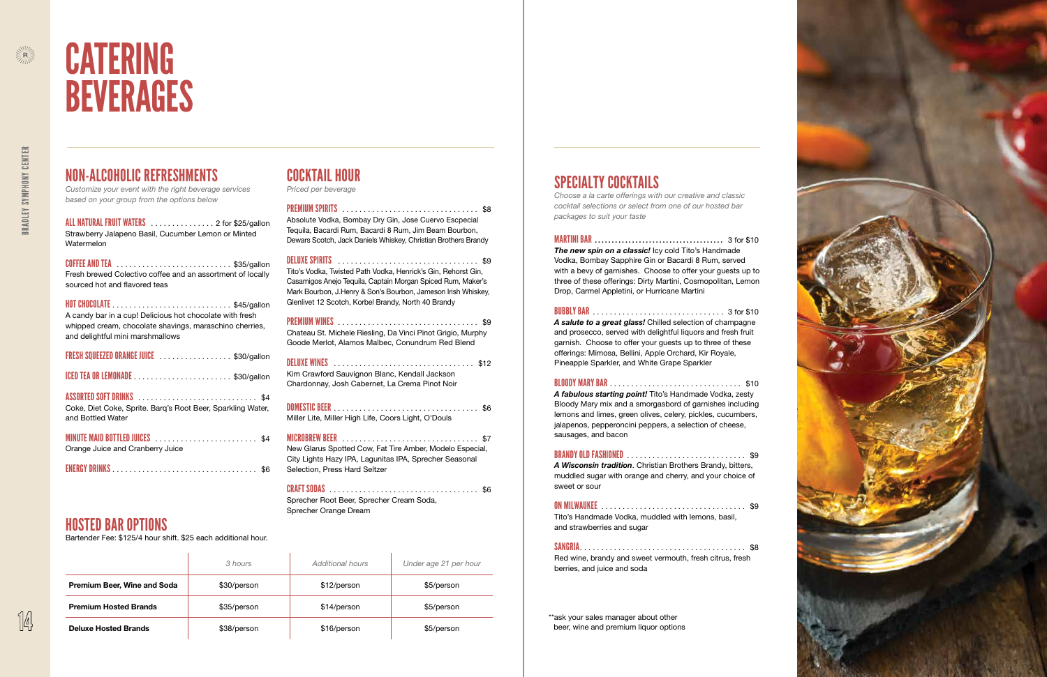![](_page_7_Picture_39.jpeg)

### NON-ALCOHOLIC REFRESHMENTS

*Customize your event with the right beverage services based on your group from the options below* 

ALL NATURAL FRUIT WATERS . . . . . . . . . . . . . . . 2 for \$25/gallon Strawberry Jalapeno Basil, Cucumber Lemon or Minted Watermelon

| COFFEE AND TEA \$35/gallon                                 |
|------------------------------------------------------------|
| Fresh brewed Colectivo coffee and an assortment of locally |
| sourced hot and flavored teas                              |

HOT CHOCOLATE . . . . . . . . . . . . . . . . . . . . . . . . . . . . \$45/gallon A candy bar in a cup! Delicious hot chocolate with fresh whipped cream, chocolate shavings, maraschino cherries, and delightful mini marshmallows

| FRESH SQUEEZED ORANGE JUICE \$30/gallon                                                                                            |
|------------------------------------------------------------------------------------------------------------------------------------|
| ICED TEA OR LEMONADE \$30/gallon                                                                                                   |
| ASSORTED SOFT DRINKS Manual Contract of the SA<br>Coke, Diet Coke, Sprite. Barg's Root Beer, Sparkling Water,<br>and Bottled Water |
| Orange Juice and Cranberry Juice                                                                                                   |
| ENERGY DRINKS (Contract of the Second Contract of the Second Second Second Second Second Second Second Second S                    |

### COCKTAIL HOUR

*Priced per beverage*

#### PREMIUM SPIRITS . . . . . . . . . . . . . . . . . . . . . . . . . . . . . . . . \$8

Absolute Vodka, Bombay Dry Gin, Jose Cuervo Escpecial Tequila, Bacardi Rum, Bacardi 8 Rum, Jim Beam Bourbon, Dewars Scotch, Jack Daniels Whiskey, Christian Brothers Brandy

> \*\*ask your sales manager about other beer, wine and premium liquor options

DELUXE SPIRITS . . . . . . . . . . . . . . . . . . . . . . . . . . . . . . . . . \$9 Tito's Vodka, Twisted Path Vodka, Henrick's Gin, Rehorst Gin, Casamigos Anejo Tequila, Captain Morgan Spiced Rum, Maker's Mark Bourbon, J .Henry & Son's Bourbon, Jameson Irish Whiskey, Glenlivet 12 Scotch, Korbel Brandy, North 40 Brandy

PREMIUM WINES . . . . . . . . . . . . . . . . . . . . . . . . . . . . . . . . . \$9 Chateau St . Michele Riesling, Da Vinci Pinot Grigio, Murphy Goode Merlot, Alamos Malbec, Conundrum Red Blend

DELUXE WINES . . . . . . . . . . . . . . . . . . . . . . . . . . . . . . . . . \$12 Kim Crawford Sauvignon Blanc, Kendall Jackson Chardonnay, Josh Cabernet, La Crema Pinot Noir

DOMESTIC BEER . . . . . . . . . . . . . . . . . . . . . . . . . . . . . . . . . . \$6 Miller Lite, Miller High Life, Coors Light, O'Douls

MICROBREW BEER . . . . . . . . . . . . . . . . . . . . . . . . . . . . . . . . \$7

New Glarus Spotted Cow, Fat Tire Amber, Modelo Especial, City Lights Hazy IPA, Lagunitas IPA, Sprecher Seasonal Selection, Press Hard Seltzer

#### CRAFT SODAS . . . . . . . . . . . . . . . . . . . . . . . . . . . . . . . . . . . \$6

Sprecher Root Beer, Sprecher Cream Soda, Sprecher Orange Dream

![](_page_7_Picture_0.jpeg)

# CATERING BEVERAGES

|                              | 3 hours     | Additional hours | Under age 21 per hour |
|------------------------------|-------------|------------------|-----------------------|
| Premium Beer, Wine and Soda  | \$30/person | \$12/person      | \$5/person            |
| <b>Premium Hosted Brands</b> | \$35/person | \$14/person      | \$5/person            |
| <b>Deluxe Hosted Brands</b>  | \$38/person | \$16/person      | \$5/person            |

### SPECIALTY COCKTAILS

*Choose a la carte offerings with our creative and classic cocktail selections or select from one of our hosted bar packages to suit your taste*

MARTINI BAR . . . . . . . . . . . . . . . . . . . . . . . . . . . . . . . . . . . . . . 3 for \$10 **The new spin on a classic!** Icy cold Tito's Handmade Vodka, Bombay Sapphire Gin or Bacardi 8 Rum, served with a bevy of garnishes . Choose to offer your guests up to three of these offerings: Dirty Martini, Cosmopolitan, Lemon Drop, Carmel Appletini, or Hurricane Martini

#### BUBBLY BAR . . . . . . . . . . . . . . . . . . . . . . . . . . . . . . . 3 for \$10

*A salute to a great glass!* Chilled selection of champagne and prosecco, served with delightful liquors and fresh fruit garnish . Choose to offer your guests up to three of these offerings: Mimosa, Bellini, Apple Orchard, Kir Royale, Pineapple Sparkler, and White Grape Sparkler

#### BLOODY MARY BAR . . . . . . . . . . . . . . . . . . . . . . . . . . . . . . . \$10

*A fabulous starting point!* Tito's Handmade Vodka, zesty Bloody Mary mix and a smorgasbord of garnishes including lemons and limes, green olives, celery, pickles, cucumbers, jalapenos, pepperoncini peppers, a selection of cheese, sausages, and bacon

#### BRANDY OLD FASHIONED . . . . . . . . . . . . . . . . . . . . . . . . . . . . \$9

*A Wisconsin tradition* . Christian Brothers Brandy, bitters, muddled sugar with orange and cherry, and your choice of sweet or sour

#### ON MILWAUKEE . . . . . . . . . . . . . . . . . . . . . . . . . . . . . . . . . . \$9

Tito's Handmade Vodka, muddled with lemons, basil, and strawberries and sugar

SANGRIA . . . . . . . . . . . . . . . . . . . . . . . . . . . . . . . . . . . . . . . \$8 Red wine, brandy and sweet vermouth, fresh citrus, fresh berries, and juice and soda

HOSTED BAR OPTIONS

Bartender Fee: \$125/4 hour shift . \$25 each additional hour.